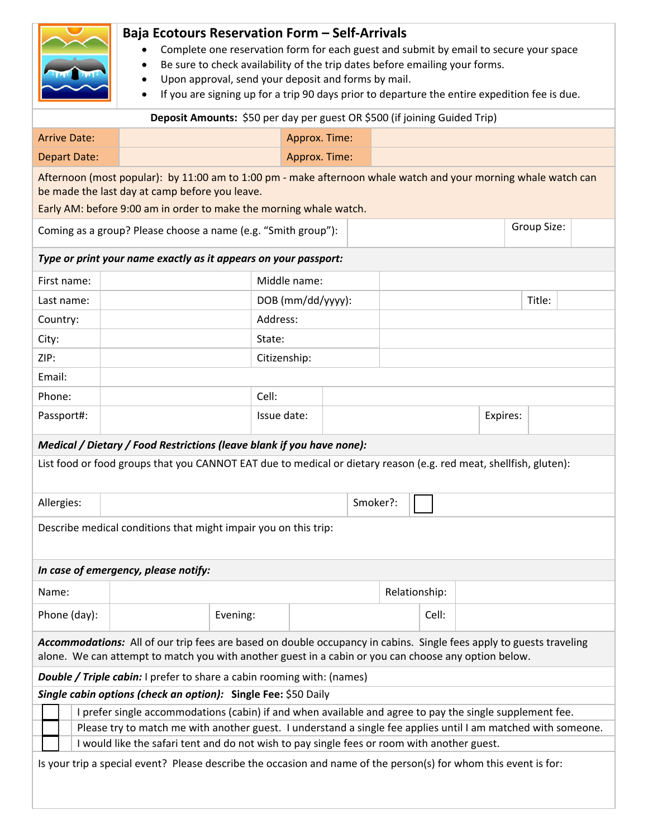|                                                                                                                                                                                                                 | <b>Baja Ecotours Reservation Form - Self-Arrivals</b>                                                                                                                                                                       |          |                   |  |  |  |               |  |          |  |  |  |
|-----------------------------------------------------------------------------------------------------------------------------------------------------------------------------------------------------------------|-----------------------------------------------------------------------------------------------------------------------------------------------------------------------------------------------------------------------------|----------|-------------------|--|--|--|---------------|--|----------|--|--|--|
| Complete one reservation form for each guest and submit by email to secure your space<br>$\bullet$                                                                                                              |                                                                                                                                                                                                                             |          |                   |  |  |  |               |  |          |  |  |  |
| Be sure to check availability of the trip dates before emailing your forms.                                                                                                                                     |                                                                                                                                                                                                                             |          |                   |  |  |  |               |  |          |  |  |  |
| Upon approval, send your deposit and forms by mail.<br>If you are signing up for a trip 90 days prior to departure the entire expedition fee is due.                                                            |                                                                                                                                                                                                                             |          |                   |  |  |  |               |  |          |  |  |  |
| Deposit Amounts: \$50 per day per guest OR \$500 (if joining Guided Trip)                                                                                                                                       |                                                                                                                                                                                                                             |          |                   |  |  |  |               |  |          |  |  |  |
|                                                                                                                                                                                                                 |                                                                                                                                                                                                                             |          |                   |  |  |  |               |  |          |  |  |  |
| <b>Arrive Date:</b>                                                                                                                                                                                             |                                                                                                                                                                                                                             |          | Approx. Time:     |  |  |  |               |  |          |  |  |  |
| <b>Depart Date:</b>                                                                                                                                                                                             |                                                                                                                                                                                                                             |          | Approx. Time:     |  |  |  |               |  |          |  |  |  |
| Afternoon (most popular): by 11:00 am to 1:00 pm - make afternoon whale watch and your morning whale watch can<br>be made the last day at camp before you leave.                                                |                                                                                                                                                                                                                             |          |                   |  |  |  |               |  |          |  |  |  |
| Early AM: before 9:00 am in order to make the morning whale watch.                                                                                                                                              |                                                                                                                                                                                                                             |          |                   |  |  |  |               |  |          |  |  |  |
| Coming as a group? Please choose a name (e.g. "Smith group"):                                                                                                                                                   |                                                                                                                                                                                                                             |          |                   |  |  |  | Group Size:   |  |          |  |  |  |
|                                                                                                                                                                                                                 |                                                                                                                                                                                                                             |          |                   |  |  |  |               |  |          |  |  |  |
| Type or print your name exactly as it appears on your passport:                                                                                                                                                 |                                                                                                                                                                                                                             |          |                   |  |  |  |               |  |          |  |  |  |
| First name:                                                                                                                                                                                                     |                                                                                                                                                                                                                             |          | Middle name:      |  |  |  |               |  |          |  |  |  |
| Last name:                                                                                                                                                                                                      |                                                                                                                                                                                                                             |          | DOB (mm/dd/yyyy): |  |  |  |               |  | Title:   |  |  |  |
| Country:                                                                                                                                                                                                        | Address:                                                                                                                                                                                                                    |          |                   |  |  |  |               |  |          |  |  |  |
| City:                                                                                                                                                                                                           |                                                                                                                                                                                                                             |          | State:            |  |  |  |               |  |          |  |  |  |
| ZIP:                                                                                                                                                                                                            | Citizenship:                                                                                                                                                                                                                |          |                   |  |  |  |               |  |          |  |  |  |
| Email:                                                                                                                                                                                                          |                                                                                                                                                                                                                             |          |                   |  |  |  |               |  |          |  |  |  |
| Phone:                                                                                                                                                                                                          |                                                                                                                                                                                                                             |          | Cell:             |  |  |  |               |  |          |  |  |  |
|                                                                                                                                                                                                                 | Passport#:                                                                                                                                                                                                                  |          | Issue date:       |  |  |  |               |  | Expires: |  |  |  |
| Medical / Dietary / Food Restrictions (leave blank if you have none):                                                                                                                                           |                                                                                                                                                                                                                             |          |                   |  |  |  |               |  |          |  |  |  |
| List food or food groups that you CANNOT EAT due to medical or dietary reason (e.g. red meat, shellfish, gluten):                                                                                               |                                                                                                                                                                                                                             |          |                   |  |  |  |               |  |          |  |  |  |
|                                                                                                                                                                                                                 |                                                                                                                                                                                                                             |          |                   |  |  |  |               |  |          |  |  |  |
| Allergies:                                                                                                                                                                                                      | ┍<br>Smoker?:                                                                                                                                                                                                               |          |                   |  |  |  |               |  |          |  |  |  |
| Describe medical conditions that might impair you on this trip:                                                                                                                                                 |                                                                                                                                                                                                                             |          |                   |  |  |  |               |  |          |  |  |  |
|                                                                                                                                                                                                                 |                                                                                                                                                                                                                             |          |                   |  |  |  |               |  |          |  |  |  |
|                                                                                                                                                                                                                 | In case of emergency, please notify:                                                                                                                                                                                        |          |                   |  |  |  |               |  |          |  |  |  |
| Name:                                                                                                                                                                                                           |                                                                                                                                                                                                                             |          |                   |  |  |  | Relationship: |  |          |  |  |  |
| Phone (day):                                                                                                                                                                                                    |                                                                                                                                                                                                                             | Evening: |                   |  |  |  | Cell:         |  |          |  |  |  |
|                                                                                                                                                                                                                 |                                                                                                                                                                                                                             |          |                   |  |  |  |               |  |          |  |  |  |
|                                                                                                                                                                                                                 | Accommodations: All of our trip fees are based on double occupancy in cabins. Single fees apply to guests traveling<br>alone. We can attempt to match you with another guest in a cabin or you can choose any option below. |          |                   |  |  |  |               |  |          |  |  |  |
|                                                                                                                                                                                                                 |                                                                                                                                                                                                                             |          |                   |  |  |  |               |  |          |  |  |  |
| Double / Triple cabin: I prefer to share a cabin rooming with: (names)<br>Single cabin options (check an option): Single Fee: \$50 Daily                                                                        |                                                                                                                                                                                                                             |          |                   |  |  |  |               |  |          |  |  |  |
| I prefer single accommodations (cabin) if and when available and agree to pay the single supplement fee.                                                                                                        |                                                                                                                                                                                                                             |          |                   |  |  |  |               |  |          |  |  |  |
| Please try to match me with another guest. I understand a single fee applies until I am matched with someone.                                                                                                   |                                                                                                                                                                                                                             |          |                   |  |  |  |               |  |          |  |  |  |
| I would like the safari tent and do not wish to pay single fees or room with another guest.<br>Is your trip a special event? Please describe the occasion and name of the person(s) for whom this event is for: |                                                                                                                                                                                                                             |          |                   |  |  |  |               |  |          |  |  |  |
|                                                                                                                                                                                                                 |                                                                                                                                                                                                                             |          |                   |  |  |  |               |  |          |  |  |  |
|                                                                                                                                                                                                                 |                                                                                                                                                                                                                             |          |                   |  |  |  |               |  |          |  |  |  |
|                                                                                                                                                                                                                 |                                                                                                                                                                                                                             |          |                   |  |  |  |               |  |          |  |  |  |